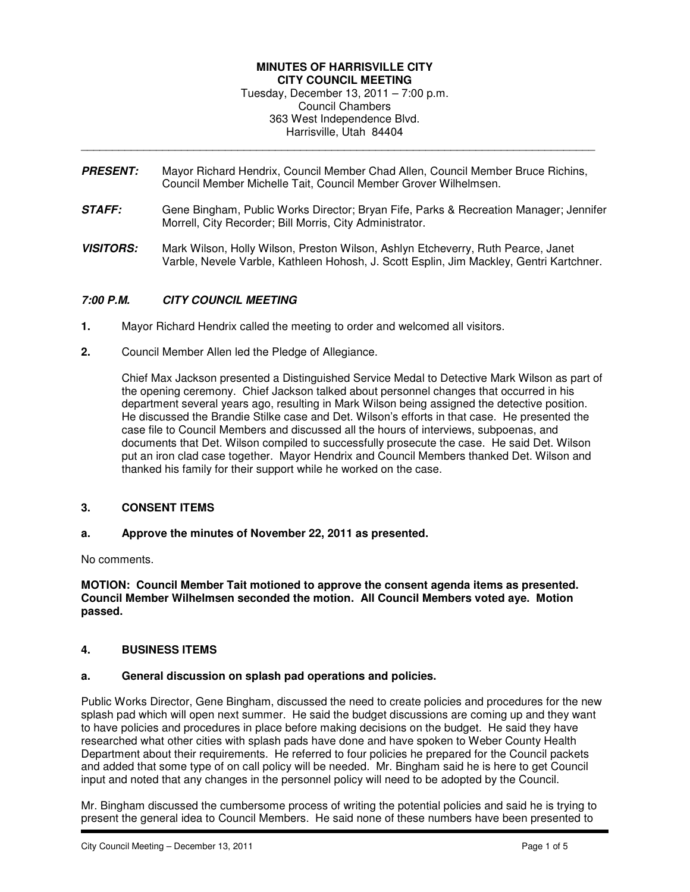### **MINUTES OF HARRISVILLE CITY CITY COUNCIL MEETING**  Tuesday, December 13, 2011 – 7:00 p.m. Council Chambers 363 West Independence Blvd. Harrisville, Utah 84404

**PRESENT:** Mayor Richard Hendrix, Council Member Chad Allen, Council Member Bruce Richins, Council Member Michelle Tait, Council Member Grover Wilhelmsen.

\_\_\_\_\_\_\_\_\_\_\_\_\_\_\_\_\_\_\_\_\_\_\_\_\_\_\_\_\_\_\_\_\_\_\_\_\_\_\_\_\_\_\_\_\_\_\_\_\_\_\_\_\_\_\_\_\_\_\_\_\_\_\_\_\_\_\_\_\_\_\_\_\_\_\_\_\_\_\_\_\_\_

- **STAFF:** Gene Bingham, Public Works Director; Bryan Fife, Parks & Recreation Manager; Jennifer Morrell, City Recorder; Bill Morris, City Administrator.
- **VISITORS:** Mark Wilson, Holly Wilson, Preston Wilson, Ashlyn Etcheverry, Ruth Pearce, Janet Varble, Nevele Varble, Kathleen Hohosh, J. Scott Esplin, Jim Mackley, Gentri Kartchner.

# **7:00 P.M. CITY COUNCIL MEETING**

- **1.** Mayor Richard Hendrix called the meeting to order and welcomed all visitors.
- **2.** Council Member Allen led the Pledge of Allegiance.

Chief Max Jackson presented a Distinguished Service Medal to Detective Mark Wilson as part of the opening ceremony. Chief Jackson talked about personnel changes that occurred in his department several years ago, resulting in Mark Wilson being assigned the detective position. He discussed the Brandie Stilke case and Det. Wilson's efforts in that case. He presented the case file to Council Members and discussed all the hours of interviews, subpoenas, and documents that Det. Wilson compiled to successfully prosecute the case. He said Det. Wilson put an iron clad case together. Mayor Hendrix and Council Members thanked Det. Wilson and thanked his family for their support while he worked on the case.

## **3. CONSENT ITEMS**

#### **a. Approve the minutes of November 22, 2011 as presented.**

No comments.

**MOTION: Council Member Tait motioned to approve the consent agenda items as presented. Council Member Wilhelmsen seconded the motion. All Council Members voted aye. Motion passed.** 

### **4. BUSINESS ITEMS**

#### **a. General discussion on splash pad operations and policies.**

Public Works Director, Gene Bingham, discussed the need to create policies and procedures for the new splash pad which will open next summer. He said the budget discussions are coming up and they want to have policies and procedures in place before making decisions on the budget. He said they have researched what other cities with splash pads have done and have spoken to Weber County Health Department about their requirements. He referred to four policies he prepared for the Council packets and added that some type of on call policy will be needed. Mr. Bingham said he is here to get Council input and noted that any changes in the personnel policy will need to be adopted by the Council.

Mr. Bingham discussed the cumbersome process of writing the potential policies and said he is trying to present the general idea to Council Members. He said none of these numbers have been presented to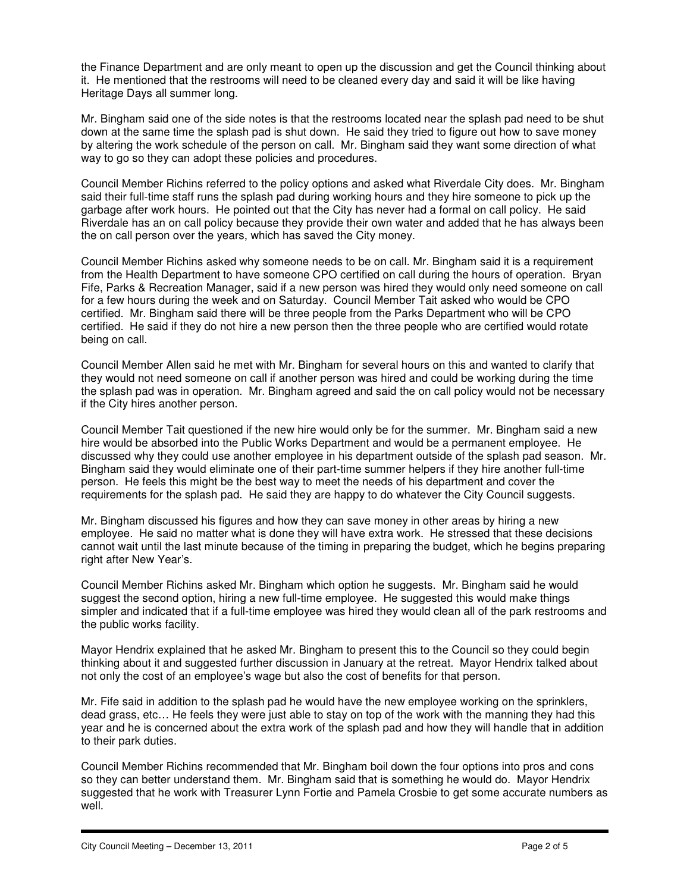the Finance Department and are only meant to open up the discussion and get the Council thinking about it. He mentioned that the restrooms will need to be cleaned every day and said it will be like having Heritage Days all summer long.

Mr. Bingham said one of the side notes is that the restrooms located near the splash pad need to be shut down at the same time the splash pad is shut down. He said they tried to figure out how to save money by altering the work schedule of the person on call. Mr. Bingham said they want some direction of what way to go so they can adopt these policies and procedures.

Council Member Richins referred to the policy options and asked what Riverdale City does. Mr. Bingham said their full-time staff runs the splash pad during working hours and they hire someone to pick up the garbage after work hours. He pointed out that the City has never had a formal on call policy. He said Riverdale has an on call policy because they provide their own water and added that he has always been the on call person over the years, which has saved the City money.

Council Member Richins asked why someone needs to be on call. Mr. Bingham said it is a requirement from the Health Department to have someone CPO certified on call during the hours of operation. Bryan Fife, Parks & Recreation Manager, said if a new person was hired they would only need someone on call for a few hours during the week and on Saturday. Council Member Tait asked who would be CPO certified. Mr. Bingham said there will be three people from the Parks Department who will be CPO certified. He said if they do not hire a new person then the three people who are certified would rotate being on call.

Council Member Allen said he met with Mr. Bingham for several hours on this and wanted to clarify that they would not need someone on call if another person was hired and could be working during the time the splash pad was in operation. Mr. Bingham agreed and said the on call policy would not be necessary if the City hires another person.

Council Member Tait questioned if the new hire would only be for the summer. Mr. Bingham said a new hire would be absorbed into the Public Works Department and would be a permanent employee. He discussed why they could use another employee in his department outside of the splash pad season. Mr. Bingham said they would eliminate one of their part-time summer helpers if they hire another full-time person. He feels this might be the best way to meet the needs of his department and cover the requirements for the splash pad. He said they are happy to do whatever the City Council suggests.

Mr. Bingham discussed his figures and how they can save money in other areas by hiring a new employee. He said no matter what is done they will have extra work. He stressed that these decisions cannot wait until the last minute because of the timing in preparing the budget, which he begins preparing right after New Year's.

Council Member Richins asked Mr. Bingham which option he suggests. Mr. Bingham said he would suggest the second option, hiring a new full-time employee. He suggested this would make things simpler and indicated that if a full-time employee was hired they would clean all of the park restrooms and the public works facility.

Mayor Hendrix explained that he asked Mr. Bingham to present this to the Council so they could begin thinking about it and suggested further discussion in January at the retreat. Mayor Hendrix talked about not only the cost of an employee's wage but also the cost of benefits for that person.

Mr. Fife said in addition to the splash pad he would have the new employee working on the sprinklers, dead grass, etc… He feels they were just able to stay on top of the work with the manning they had this year and he is concerned about the extra work of the splash pad and how they will handle that in addition to their park duties.

Council Member Richins recommended that Mr. Bingham boil down the four options into pros and cons so they can better understand them. Mr. Bingham said that is something he would do. Mayor Hendrix suggested that he work with Treasurer Lynn Fortie and Pamela Crosbie to get some accurate numbers as well.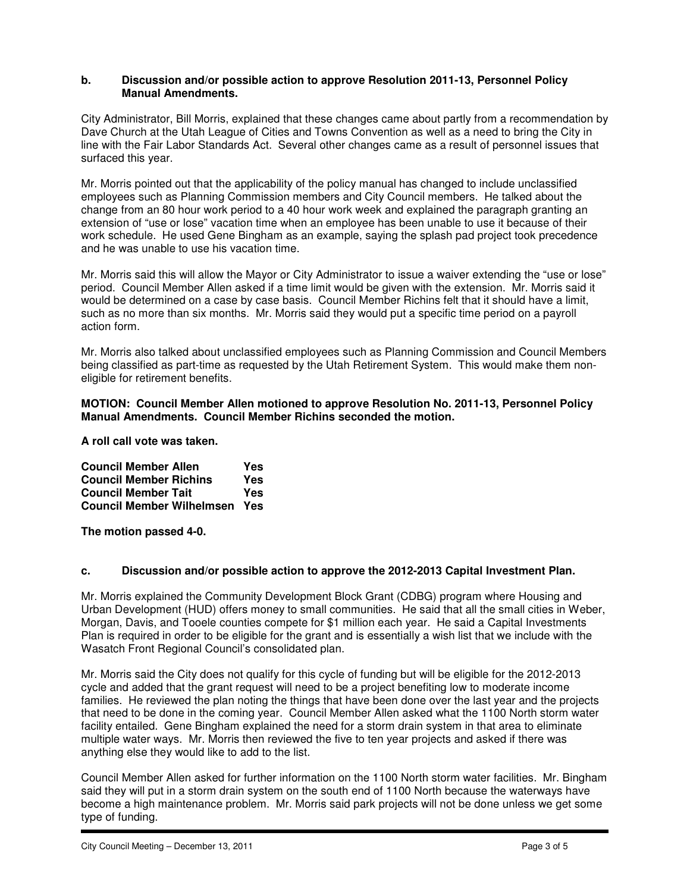#### **b. Discussion and/or possible action to approve Resolution 2011-13, Personnel Policy Manual Amendments.**

City Administrator, Bill Morris, explained that these changes came about partly from a recommendation by Dave Church at the Utah League of Cities and Towns Convention as well as a need to bring the City in line with the Fair Labor Standards Act. Several other changes came as a result of personnel issues that surfaced this year.

Mr. Morris pointed out that the applicability of the policy manual has changed to include unclassified employees such as Planning Commission members and City Council members. He talked about the change from an 80 hour work period to a 40 hour work week and explained the paragraph granting an extension of "use or lose" vacation time when an employee has been unable to use it because of their work schedule. He used Gene Bingham as an example, saying the splash pad project took precedence and he was unable to use his vacation time.

Mr. Morris said this will allow the Mayor or City Administrator to issue a waiver extending the "use or lose" period. Council Member Allen asked if a time limit would be given with the extension. Mr. Morris said it would be determined on a case by case basis. Council Member Richins felt that it should have a limit, such as no more than six months. Mr. Morris said they would put a specific time period on a payroll action form.

Mr. Morris also talked about unclassified employees such as Planning Commission and Council Members being classified as part-time as requested by the Utah Retirement System. This would make them noneligible for retirement benefits.

### **MOTION: Council Member Allen motioned to approve Resolution No. 2011-13, Personnel Policy Manual Amendments. Council Member Richins seconded the motion.**

**A roll call vote was taken.** 

| <b>Council Member Allen</b>      | Yes |
|----------------------------------|-----|
| <b>Council Member Richins</b>    | Yes |
| <b>Council Member Tait</b>       | Yes |
| <b>Council Member Wilhelmsen</b> | Yes |

**The motion passed 4-0.** 

## **c. Discussion and/or possible action to approve the 2012-2013 Capital Investment Plan.**

Mr. Morris explained the Community Development Block Grant (CDBG) program where Housing and Urban Development (HUD) offers money to small communities. He said that all the small cities in Weber, Morgan, Davis, and Tooele counties compete for \$1 million each year. He said a Capital Investments Plan is required in order to be eligible for the grant and is essentially a wish list that we include with the Wasatch Front Regional Council's consolidated plan.

Mr. Morris said the City does not qualify for this cycle of funding but will be eligible for the 2012-2013 cycle and added that the grant request will need to be a project benefiting low to moderate income families. He reviewed the plan noting the things that have been done over the last year and the projects that need to be done in the coming year. Council Member Allen asked what the 1100 North storm water facility entailed. Gene Bingham explained the need for a storm drain system in that area to eliminate multiple water ways. Mr. Morris then reviewed the five to ten year projects and asked if there was anything else they would like to add to the list.

Council Member Allen asked for further information on the 1100 North storm water facilities. Mr. Bingham said they will put in a storm drain system on the south end of 1100 North because the waterways have become a high maintenance problem. Mr. Morris said park projects will not be done unless we get some type of funding.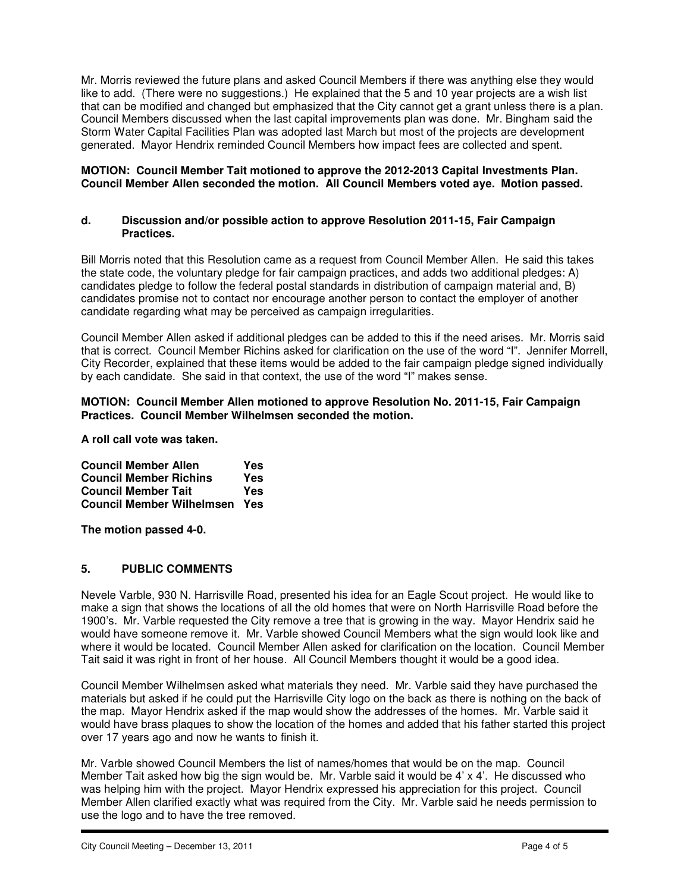Mr. Morris reviewed the future plans and asked Council Members if there was anything else they would like to add. (There were no suggestions.) He explained that the 5 and 10 year projects are a wish list that can be modified and changed but emphasized that the City cannot get a grant unless there is a plan. Council Members discussed when the last capital improvements plan was done. Mr. Bingham said the Storm Water Capital Facilities Plan was adopted last March but most of the projects are development generated. Mayor Hendrix reminded Council Members how impact fees are collected and spent.

### **MOTION: Council Member Tait motioned to approve the 2012-2013 Capital Investments Plan. Council Member Allen seconded the motion. All Council Members voted aye. Motion passed.**

### **d. Discussion and/or possible action to approve Resolution 2011-15, Fair Campaign Practices.**

Bill Morris noted that this Resolution came as a request from Council Member Allen. He said this takes the state code, the voluntary pledge for fair campaign practices, and adds two additional pledges: A) candidates pledge to follow the federal postal standards in distribution of campaign material and, B) candidates promise not to contact nor encourage another person to contact the employer of another candidate regarding what may be perceived as campaign irregularities.

Council Member Allen asked if additional pledges can be added to this if the need arises. Mr. Morris said that is correct. Council Member Richins asked for clarification on the use of the word "I". Jennifer Morrell, City Recorder, explained that these items would be added to the fair campaign pledge signed individually by each candidate. She said in that context, the use of the word "I" makes sense.

### **MOTION: Council Member Allen motioned to approve Resolution No. 2011-15, Fair Campaign Practices. Council Member Wilhelmsen seconded the motion.**

**A roll call vote was taken.** 

| <b>Council Member Allen</b>      | Yes |
|----------------------------------|-----|
| <b>Council Member Richins</b>    | Yes |
| <b>Council Member Tait</b>       | Yes |
| <b>Council Member Wilhelmsen</b> | Yes |

**The motion passed 4-0.** 

## **5. PUBLIC COMMENTS**

Nevele Varble, 930 N. Harrisville Road, presented his idea for an Eagle Scout project. He would like to make a sign that shows the locations of all the old homes that were on North Harrisville Road before the 1900's. Mr. Varble requested the City remove a tree that is growing in the way. Mayor Hendrix said he would have someone remove it. Mr. Varble showed Council Members what the sign would look like and where it would be located. Council Member Allen asked for clarification on the location. Council Member Tait said it was right in front of her house. All Council Members thought it would be a good idea.

Council Member Wilhelmsen asked what materials they need. Mr. Varble said they have purchased the materials but asked if he could put the Harrisville City logo on the back as there is nothing on the back of the map. Mayor Hendrix asked if the map would show the addresses of the homes. Mr. Varble said it would have brass plaques to show the location of the homes and added that his father started this project over 17 years ago and now he wants to finish it.

Mr. Varble showed Council Members the list of names/homes that would be on the map. Council Member Tait asked how big the sign would be. Mr. Varble said it would be 4' x 4'. He discussed who was helping him with the project. Mayor Hendrix expressed his appreciation for this project. Council Member Allen clarified exactly what was required from the City. Mr. Varble said he needs permission to use the logo and to have the tree removed.